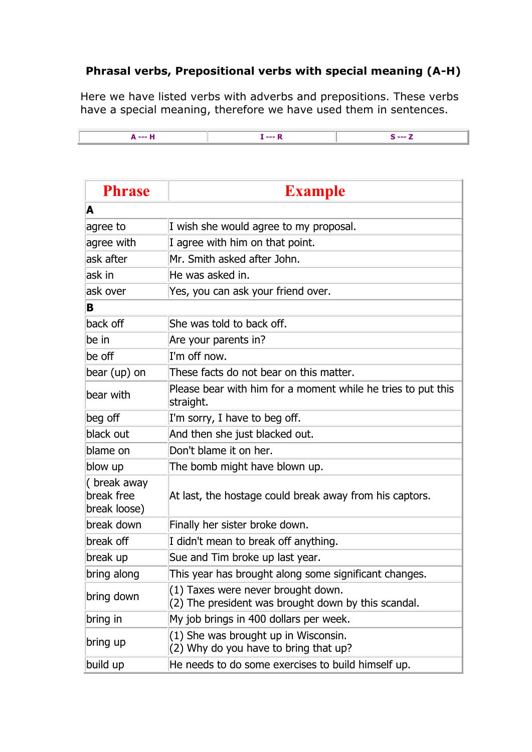## **Phrasal verbs, Prepositional verbs with special meaning (A-H)**

Here we have listed verbs with adverbs and prepositions. These verbs have a special meaning, therefore we have used them in sentences.



| <b>Phrase</b>                             | <b>Example</b>                                                                            |
|-------------------------------------------|-------------------------------------------------------------------------------------------|
| A                                         |                                                                                           |
| agree to                                  | I wish she would agree to my proposal.                                                    |
| agree with                                | I agree with him on that point.                                                           |
| ask after                                 | Mr. Smith asked after John.                                                               |
| lask in                                   | He was asked in.                                                                          |
| ask over                                  | Yes, you can ask your friend over.                                                        |
| B                                         |                                                                                           |
| back off                                  | She was told to back off.                                                                 |
| be in                                     | Are your parents in?                                                                      |
| be off                                    | I'm off now.                                                                              |
| bear (up) on                              | These facts do not bear on this matter.                                                   |
| bear with                                 | Please bear with him for a moment while he tries to put this<br>straight.                 |
| beg off                                   | I'm sorry, I have to beg off.                                                             |
| black out                                 | And then she just blacked out.                                                            |
| blame on                                  | Don't blame it on her.                                                                    |
| blow up                                   | The bomb might have blown up.                                                             |
| (break away<br>break free<br>break loose) | At last, the hostage could break away from his captors.                                   |
| break down                                | Finally her sister broke down.                                                            |
| break off                                 | I didn't mean to break off anything.                                                      |
| break up                                  | Sue and Tim broke up last year.                                                           |
| bring along                               | This year has brought along some significant changes.                                     |
| bring down                                | (1) Taxes were never brought down.<br>(2) The president was brought down by this scandal. |
| bring in                                  | My job brings in 400 dollars per week.                                                    |
| bring up                                  | (1) She was brought up in Wisconsin.<br>(2) Why do you have to bring that up?             |
| build up                                  | He needs to do some exercises to build himself up.                                        |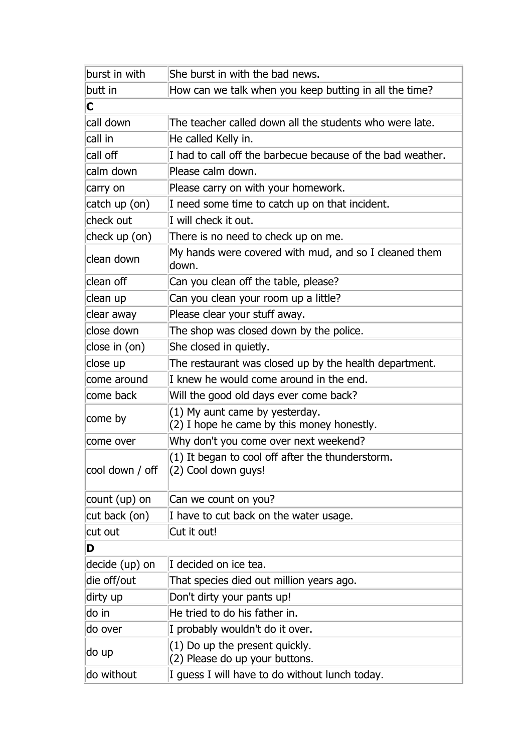| burst in with   | She burst in with the bad news.                                              |
|-----------------|------------------------------------------------------------------------------|
| butt in         | How can we talk when you keep butting in all the time?                       |
| C               |                                                                              |
| call down       | The teacher called down all the students who were late.                      |
| call in         | He called Kelly in.                                                          |
| call off        | I had to call off the barbecue because of the bad weather.                   |
| calm down       | Please calm down.                                                            |
| carry on        | Please carry on with your homework.                                          |
| catch up (on)   | I need some time to catch up on that incident.                               |
| check out       | I will check it out.                                                         |
| check up (on)   | There is no need to check up on me.                                          |
| clean down      | My hands were covered with mud, and so I cleaned them<br>down.               |
| clean off       | Can you clean off the table, please?                                         |
| clean up        | Can you clean your room up a little?                                         |
| clear away      | Please clear your stuff away.                                                |
| close down      | The shop was closed down by the police.                                      |
| close in (on)   | She closed in quietly.                                                       |
| close up        | The restaurant was closed up by the health department.                       |
| come around     | I knew he would come around in the end.                                      |
| come back       | Will the good old days ever come back?                                       |
| come by         | (1) My aunt came by yesterday.<br>(2) I hope he came by this money honestly. |
| come over       | Why don't you come over next weekend?                                        |
| cool down / off | (1) It began to cool off after the thunderstorm.<br>(2) Cool down guys!      |
| count (up) on   | Can we count on you?                                                         |
| cut back (on)   | I have to cut back on the water usage.                                       |
| cut out         | Cut it out!                                                                  |
| D               |                                                                              |
| decide (up) on  | I decided on ice tea.                                                        |
| die off/out     | That species died out million years ago.                                     |
| dirty up        | Don't dirty your pants up!                                                   |
| do in           | He tried to do his father in.                                                |
| do over         | I probably wouldn't do it over.                                              |
| ∣do up          | (1) Do up the present quickly.<br>(2) Please do up your buttons.             |
| do without      | I guess I will have to do without lunch today.                               |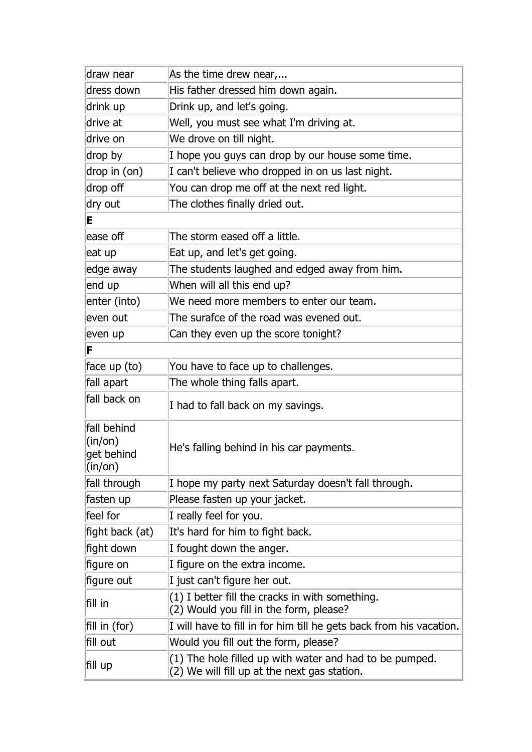| draw near                                                                 | As the time drew near,                                                                                  |
|---------------------------------------------------------------------------|---------------------------------------------------------------------------------------------------------|
| dress down                                                                | His father dressed him down again.                                                                      |
| drink up                                                                  | Drink up, and let's going.                                                                              |
| drive at                                                                  | Well, you must see what I'm driving at.                                                                 |
| drive on                                                                  | We drove on till night.                                                                                 |
| drop by                                                                   | I hope you guys can drop by our house some time.                                                        |
| drop in (on)                                                              | I can't believe who dropped in on us last night.                                                        |
| drop off                                                                  | You can drop me off at the next red light.                                                              |
| dry out                                                                   | The clothes finally dried out.                                                                          |
| E                                                                         |                                                                                                         |
| ease off                                                                  | The storm eased off a little.                                                                           |
| eat up                                                                    | Eat up, and let's get going.                                                                            |
| edge away                                                                 | The students laughed and edged away from him.                                                           |
| end up                                                                    | When will all this end up?                                                                              |
| enter (into)                                                              | We need more members to enter our team.                                                                 |
| even out                                                                  | The surafce of the road was evened out.                                                                 |
| even up                                                                   | Can they even up the score tonight?                                                                     |
| F                                                                         |                                                                                                         |
| face up (to)                                                              | You have to face up to challenges.                                                                      |
| fall apart                                                                | The whole thing falls apart.                                                                            |
| fall back on                                                              | I had to fall back on my savings.                                                                       |
| fall behind<br>$\ln$ (in/on)<br>get behind<br>$(\mathsf{in}/\mathsf{on})$ | He's falling behind in his car payments.                                                                |
| fall through                                                              | I hope my party next Saturday doesn't fall through.                                                     |
| fasten up                                                                 | Please fasten up your jacket.                                                                           |
| feel for                                                                  | I really feel for you.                                                                                  |
| fight back (at)                                                           | It's hard for him to fight back.                                                                        |
| fight down                                                                | I fought down the anger.                                                                                |
| figure on                                                                 | I figure on the extra income.                                                                           |
| figure out                                                                | I just can't figure her out.                                                                            |
| fill in                                                                   | (1) I better fill the cracks in with something.<br>(2) Would you fill in the form, please?              |
| fill in (for)                                                             | I will have to fill in for him till he gets back from his vacation.                                     |
| fill out                                                                  | Would you fill out the form, please?                                                                    |
| fill up                                                                   | (1) The hole filled up with water and had to be pumped.<br>(2) We will fill up at the next gas station. |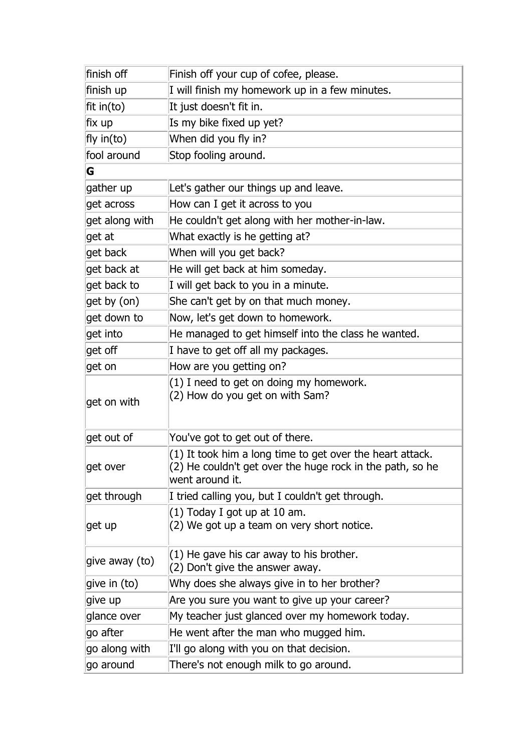| finish off         | Finish off your cup of cofee, please.                                                                                                     |
|--------------------|-------------------------------------------------------------------------------------------------------------------------------------------|
| finish up          | I will finish my homework up in a few minutes.                                                                                            |
| $\vert$ fit in(to) | It just doesn't fit in.                                                                                                                   |
| fix up             | Is my bike fixed up yet?                                                                                                                  |
| fly in(to)         | When did you fly in?                                                                                                                      |
| fool around        | Stop fooling around.                                                                                                                      |
| G                  |                                                                                                                                           |
| gather up          | Let's gather our things up and leave.                                                                                                     |
| get across         | How can I get it across to you                                                                                                            |
| get along with     | He couldn't get along with her mother-in-law.                                                                                             |
| get at             | What exactly is he getting at?                                                                                                            |
| get back           | When will you get back?                                                                                                                   |
| get back at        | He will get back at him someday.                                                                                                          |
| get back to        | I will get back to you in a minute.                                                                                                       |
| get by (on)        | She can't get by on that much money.                                                                                                      |
| get down to        | Now, let's get down to homework.                                                                                                          |
| get into           | He managed to get himself into the class he wanted.                                                                                       |
| get off            | I have to get off all my packages.                                                                                                        |
| get on             | How are you getting on?                                                                                                                   |
| get on with        | (1) I need to get on doing my homework.<br>(2) How do you get on with Sam?                                                                |
| get out of         | You've got to get out of there.                                                                                                           |
| get over           | (1) It took him a long time to get over the heart attack.<br>(2) He couldn't get over the huge rock in the path, so he<br>went around it. |
| get through        | I tried calling you, but I couldn't get through.                                                                                          |
| get up             | (1) Today I got up at 10 am.<br>(2) We got up a team on very short notice.                                                                |
| give away (to)     | $(1)$ He gave his car away to his brother.<br>(2) Don't give the answer away.                                                             |
| give in $(to)$     | Why does she always give in to her brother?                                                                                               |
| give up            | Are you sure you want to give up your career?                                                                                             |
| glance over        | My teacher just glanced over my homework today.                                                                                           |
| go after           | He went after the man who mugged him.                                                                                                     |
| go along with      | I'll go along with you on that decision.                                                                                                  |
| go around          | There's not enough milk to go around.                                                                                                     |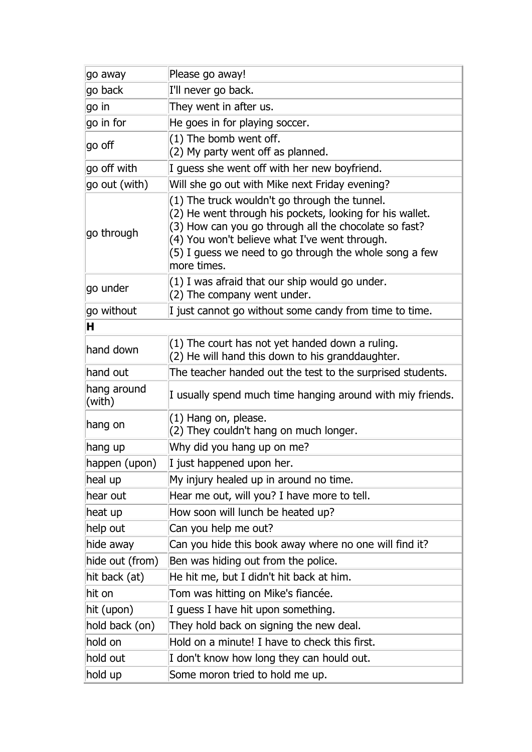| go away               | Please go away!                                                                                                                                                                                                                                                                              |
|-----------------------|----------------------------------------------------------------------------------------------------------------------------------------------------------------------------------------------------------------------------------------------------------------------------------------------|
| go back               | I'll never go back.                                                                                                                                                                                                                                                                          |
| go in                 | They went in after us.                                                                                                                                                                                                                                                                       |
| $ $ go in for         | He goes in for playing soccer.                                                                                                                                                                                                                                                               |
| go off                | $(1)$ The bomb went off.<br>(2) My party went off as planned.                                                                                                                                                                                                                                |
| go off with           | I guess she went off with her new boyfriend.                                                                                                                                                                                                                                                 |
| go out (with)         | Will she go out with Mike next Friday evening?                                                                                                                                                                                                                                               |
| go through            | (1) The truck wouldn't go through the tunnel.<br>(2) He went through his pockets, looking for his wallet.<br>(3) How can you go through all the chocolate so fast?<br>(4) You won't believe what I've went through.<br>(5) I guess we need to go through the whole song a few<br>more times. |
| go under              | (1) I was afraid that our ship would go under.<br>(2) The company went under.                                                                                                                                                                                                                |
| go without            | I just cannot go without some candy from time to time.                                                                                                                                                                                                                                       |
| н                     |                                                                                                                                                                                                                                                                                              |
| hand down             | (1) The court has not yet handed down a ruling.<br>(2) He will hand this down to his granddaughter.                                                                                                                                                                                          |
| hand out              | The teacher handed out the test to the surprised students.                                                                                                                                                                                                                                   |
| hang around<br>(with) | I usually spend much time hanging around with miy friends.                                                                                                                                                                                                                                   |
| hang on               | (1) Hang on, please.<br>(2) They couldn't hang on much longer.                                                                                                                                                                                                                               |
| hang up               | Why did you hang up on me?                                                                                                                                                                                                                                                                   |
| happen (upon)         | I just happened upon her.                                                                                                                                                                                                                                                                    |
| heal up               | My injury healed up in around no time.                                                                                                                                                                                                                                                       |
| hear out              | Hear me out, will you? I have more to tell.                                                                                                                                                                                                                                                  |
| heat up               | How soon will lunch be heated up?                                                                                                                                                                                                                                                            |
| help out              | Can you help me out?                                                                                                                                                                                                                                                                         |
| hide away             | Can you hide this book away where no one will find it?                                                                                                                                                                                                                                       |
| hide out (from)       | Ben was hiding out from the police.                                                                                                                                                                                                                                                          |
| hit back (at)         | He hit me, but I didn't hit back at him.                                                                                                                                                                                                                                                     |
| hit on                | Tom was hitting on Mike's fiancée.                                                                                                                                                                                                                                                           |
| hit (upon)            | I guess I have hit upon something.                                                                                                                                                                                                                                                           |
| hold back (on)        | They hold back on signing the new deal.                                                                                                                                                                                                                                                      |
| hold on               | Hold on a minute! I have to check this first.                                                                                                                                                                                                                                                |
| hold out              | I don't know how long they can hould out.                                                                                                                                                                                                                                                    |
| hold up               | Some moron tried to hold me up.                                                                                                                                                                                                                                                              |